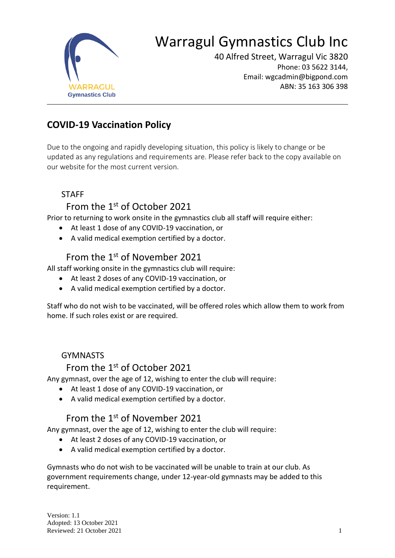

# Warragul Gymnastics Club Inc

40 Alfred Street, Warragul Vic 3820 Phone: 03 5622 3144, Email: wgcadmin@bigpond.com ABN: 35 163 306 398

## **COVID-19 Vaccination Policy**

Due to the ongoing and rapidly developing situation, this policy is likely to change or be updated as any regulations and requirements are. Please refer back to the copy available on our website for the most current version.

#### **STAFF**

### From the 1st of October 2021

Prior to returning to work onsite in the gymnastics club all staff will require either:

- At least 1 dose of any COVID-19 vaccination, or
- A valid medical exemption certified by a doctor.

### From the 1<sup>st</sup> of November 2021

All staff working onsite in the gymnastics club will require:

- At least 2 doses of any COVID-19 vaccination, or
- A valid medical exemption certified by a doctor.

Staff who do not wish to be vaccinated, will be offered roles which allow them to work from home. If such roles exist or are required.

#### GYMNASTS

#### From the 1<sup>st</sup> of October 2021

Any gymnast, over the age of 12, wishing to enter the club will require:

- At least 1 dose of any COVID-19 vaccination, or
- A valid medical exemption certified by a doctor.

### From the 1<sup>st</sup> of November 2021

Any gymnast, over the age of 12, wishing to enter the club will require:

- At least 2 doses of any COVID-19 vaccination, or
- A valid medical exemption certified by a doctor.

Gymnasts who do not wish to be vaccinated will be unable to train at our club. As government requirements change, under 12-year-old gymnasts may be added to this requirement.